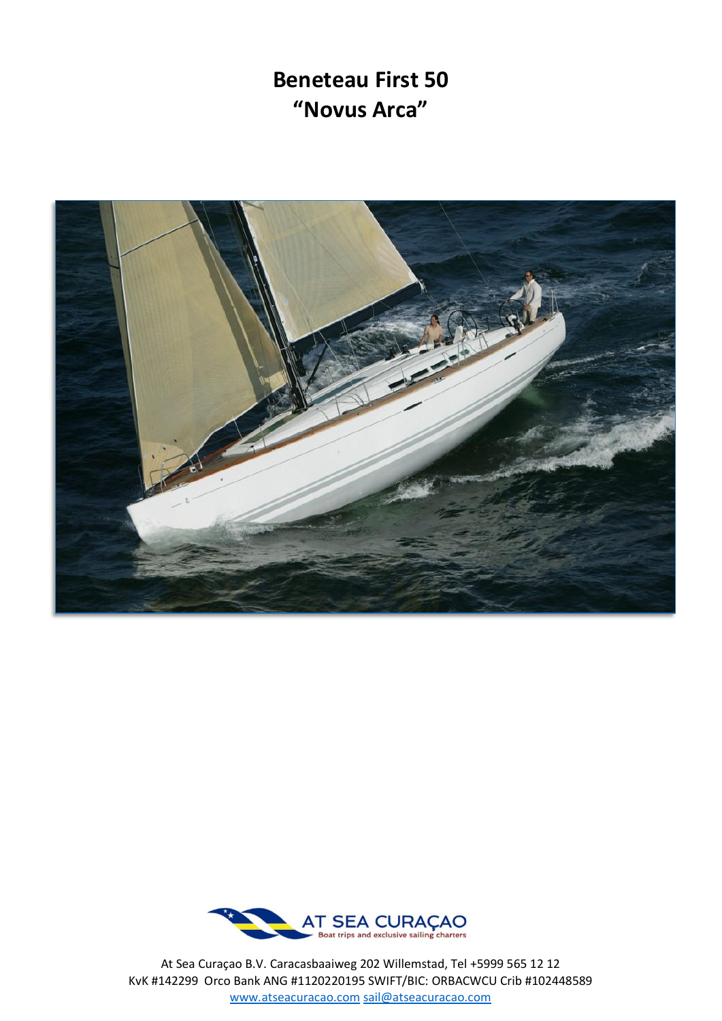**Beneteau First 50 "Novus Arca"**



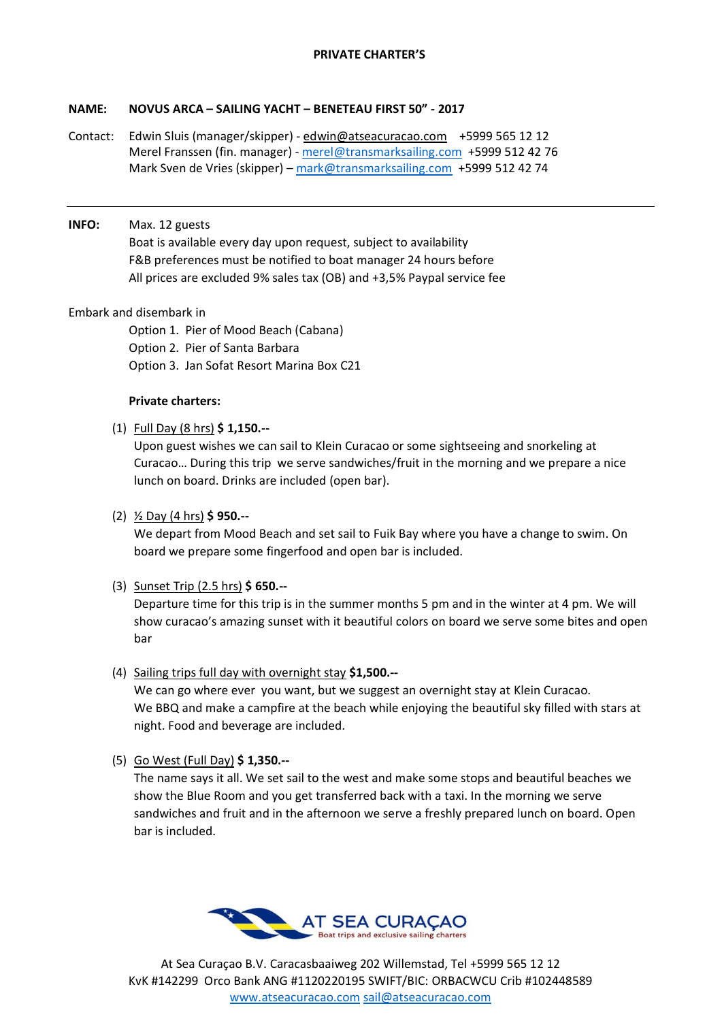## **NAME: NOVUS ARCA – SAILING YACHT – BENETEAU FIRST 50" - 2017**

Contact: Edwin Sluis (manager/skipper) - [edwin@atseacuracao.com](mailto:edwin@atseacuracao.com) +5999 565 12 12 Merel Franssen (fin. manager) - [merel@transmarksailing.com](mailto:mark@transmarksailing.com) +5999 512 42 76 Mark Sven de Vries (skipper) – [mark@transmarksailing.com](mailto:mark@transmarksailing.com) +5999 512 42 74

## **INFO:** Max. 12 guests

Boat is available every day upon request, subject to availability F&B preferences must be notified to boat manager 24 hours before All prices are excluded 9% sales tax (OB) and +3,5% Paypal service fee

## Embark and disembark in

Option 1. Pier of Mood Beach (Cabana) Option 2. Pier of Santa Barbara Option 3. Jan Sofat Resort Marina Box C21

#### **Private charters:**

(1) Full Day (8 hrs) **\$ 1,150.--**

Upon guest wishes we can sail to Klein Curacao or some sightseeing and snorkeling at Curacao… During this trip we serve sandwiches/fruit in the morning and we prepare a nice lunch on board. Drinks are included (open bar).

## (2) ½ Day (4 hrs) **\$ 950.--**

We depart from Mood Beach and set sail to Fuik Bay where you have a change to swim. On board we prepare some fingerfood and open bar is included.

(3) Sunset Trip (2.5 hrs) **\$ 650.--**

Departure time for this trip is in the summer months 5 pm and in the winter at 4 pm. We will show curacao's amazing sunset with it beautiful colors on board we serve some bites and open bar

(4) Sailing trips full day with overnight stay **\$1,500.--**

We can go where ever you want, but we suggest an overnight stay at Klein Curacao. We BBQ and make a campfire at the beach while enjoying the beautiful sky filled with stars at night. Food and beverage are included.

(5) Go West (Full Day) **\$ 1,350.--**

The name says it all. We set sail to the west and make some stops and beautiful beaches we show the Blue Room and you get transferred back with a taxi. In the morning we serve sandwiches and fruit and in the afternoon we serve a freshly prepared lunch on board. Open bar is included.

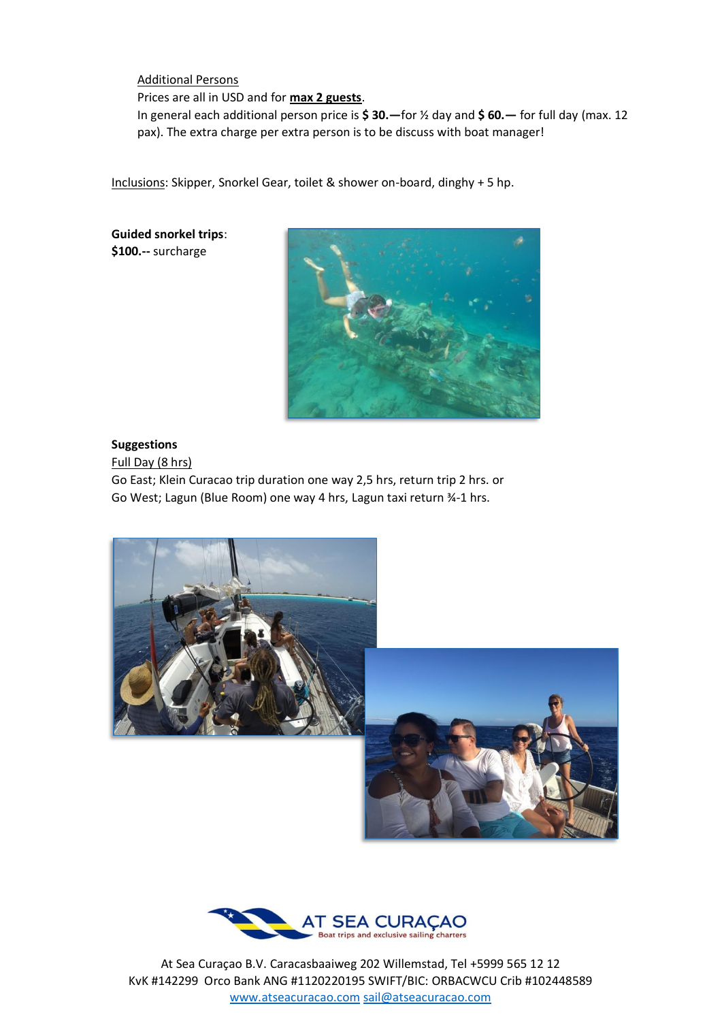## Additional Persons

Prices are all in USD and for **max 2 guests**.

In general each additional person price is **\$ 30.—**for ½ day and **\$ 60.—** for full day (max. 12 pax). The extra charge per extra person is to be discuss with boat manager!

Inclusions: Skipper, Snorkel Gear, toilet & shower on-board, dinghy + 5 hp.

**Guided snorkel trips**: **\$100.--** surcharge



# **Suggestions**

Full Day (8 hrs) Go East; Klein Curacao trip duration one way 2,5 hrs, return trip 2 hrs. or

Go West; Lagun (Blue Room) one way 4 hrs, Lagun taxi return ¾-1 hrs.